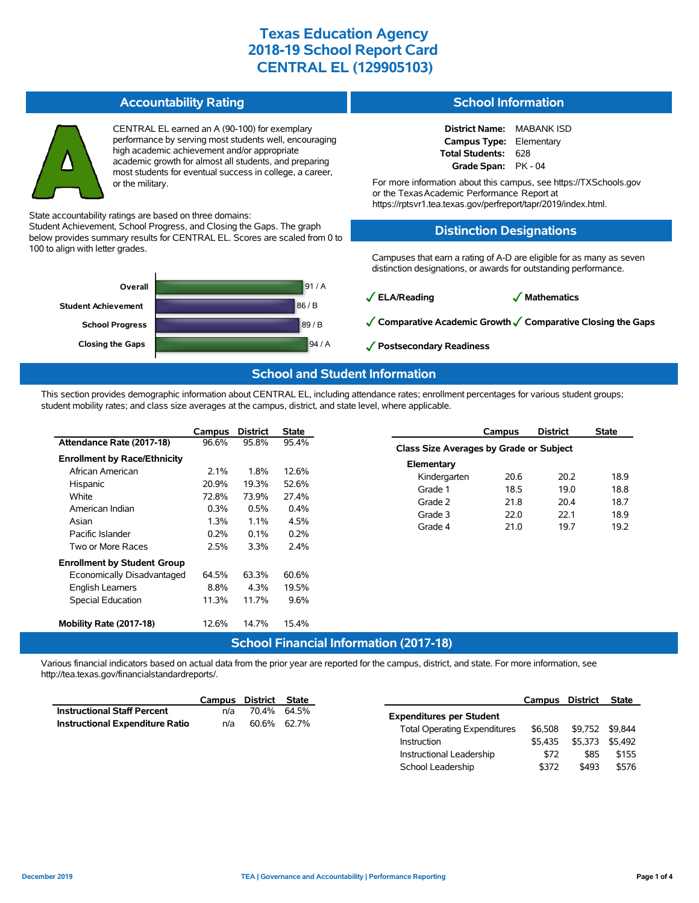#### **Accountability Rating**

CENTRAL EL earned an A (90-100) for exemplary performance by serving most students well, encouraging high academic achievement and/or appropriate academic growth for almost all students, and preparing most students for eventual success in college, a career, or the military.

State accountability ratings are based on three domains:

Student Achievement, School Progress, and Closing the Gaps. The graph below provides summary results for CENTRAL EL. Scores are scaled from 0 to 100 to align with letter grades.



### **School Information**

**District Name:** MABANK ISD **Campus Type:** Elementary **Total Students:** 628 **Grade Span:** PK - 04

For more information about this campus, see https://TXSchools.gov or the TexasAcademic Performance Report at https://rptsvr1.tea.texas.gov/perfreport/tapr/2019/index.html.

### **Distinction Designations**

Campuses that earn a rating of A-D are eligible for as many as seven distinction designations, or awards for outstanding performance.

✓**ELA/Reading** ✓ **Mathematics**

✓**Comparative Academic Growth**✓**Comparative Closing the Gaps**

School Leadership  $$372$  \$493 \$576

✓**Postsecondary Readiness**

### **School and Student Information**

This section provides demographic information about CENTRAL EL, including attendance rates; enrollment percentages for various student groups; student mobility rates; and class size averages at the campus, district, and state level, where applicable.

|                                               | Campus  | <b>District</b> | <b>State</b>  |                         | <b>Campus</b>                           | <b>District</b> | <b>State</b> |  |  |  |  |  |
|-----------------------------------------------|---------|-----------------|---------------|-------------------------|-----------------------------------------|-----------------|--------------|--|--|--|--|--|
| Attendance Rate (2017-18)                     | 96.6%   | 95.8%           | 95.4%         |                         | Class Size Averages by Grade or Subject |                 |              |  |  |  |  |  |
| <b>Enrollment by Race/Ethnicity</b>           |         |                 |               | Elementary              |                                         |                 |              |  |  |  |  |  |
| African American                              | 2.1%    | 1.8%            | 12.6%         |                         |                                         | 20.2            |              |  |  |  |  |  |
| Hispanic                                      | 20.9%   | 19.3%           | 52.6%         | Kindergarten<br>Grade 1 | 20.6<br>18.5                            |                 | 18.9         |  |  |  |  |  |
| White                                         | 72.8%   | 73.9%<br>0.5%   | 27.4%<br>0.4% |                         |                                         | 19.0            | 18.8         |  |  |  |  |  |
| American Indian                               | 0.3%    |                 |               | Grade 2                 | 21.8                                    | 20.4            | 18.7         |  |  |  |  |  |
|                                               |         |                 |               | Grade 3                 | 22.0                                    | 22.1            | 18.9         |  |  |  |  |  |
| Asian                                         | 1.3%    | 1.1%            | 4.5%          | Grade 4                 | 21.0                                    | 19.7            | 19.2         |  |  |  |  |  |
| Pacific Islander                              | 0.2%    | 0.1%            | 0.2%          |                         |                                         |                 |              |  |  |  |  |  |
| Two or More Races                             | 2.5%    | 3.3%            | $2.4\%$       |                         |                                         |                 |              |  |  |  |  |  |
| <b>Enrollment by Student Group</b>            |         |                 |               |                         |                                         |                 |              |  |  |  |  |  |
| Economically Disadvantaged                    | 64.5%   | 63.3%           | 60.6%         |                         |                                         |                 |              |  |  |  |  |  |
| English Learners                              | $8.8\%$ | 4.3%            | 19.5%         |                         |                                         |                 |              |  |  |  |  |  |
| Special Education                             | 11.3%   | 11.7%           | 9.6%          |                         |                                         |                 |              |  |  |  |  |  |
| Mobility Rate (2017-18)                       | 12.6%   | 14.7%           | 15.4%         |                         |                                         |                 |              |  |  |  |  |  |
| <b>School Financial Information (2017-18)</b> |         |                 |               |                         |                                         |                 |              |  |  |  |  |  |

Various financial indicators based on actual data from the prior year are reported for the campus, district, and state. For more information, see http://tea.texas.gov/financialstandardreports/.

|                                    | Campus | District State |             |                                     | Campus District |                 | State   |
|------------------------------------|--------|----------------|-------------|-------------------------------------|-----------------|-----------------|---------|
| <b>Instructional Staff Percent</b> | n/a    |                | 70.4% 64.5% | <b>Expenditures per Student</b>     |                 |                 |         |
| Instructional Expenditure Ratio    | n/a    |                | 60.6% 62.7% |                                     |                 |                 |         |
|                                    |        |                |             | <b>Total Operating Expenditures</b> | \$6.508         | \$9,752 \$9,844 |         |
|                                    |        |                |             | Instruction                         | \$5.435         | \$5.373         | \$5.492 |
|                                    |        |                |             | Instructional Leadership            | \$72            | \$85            | \$155   |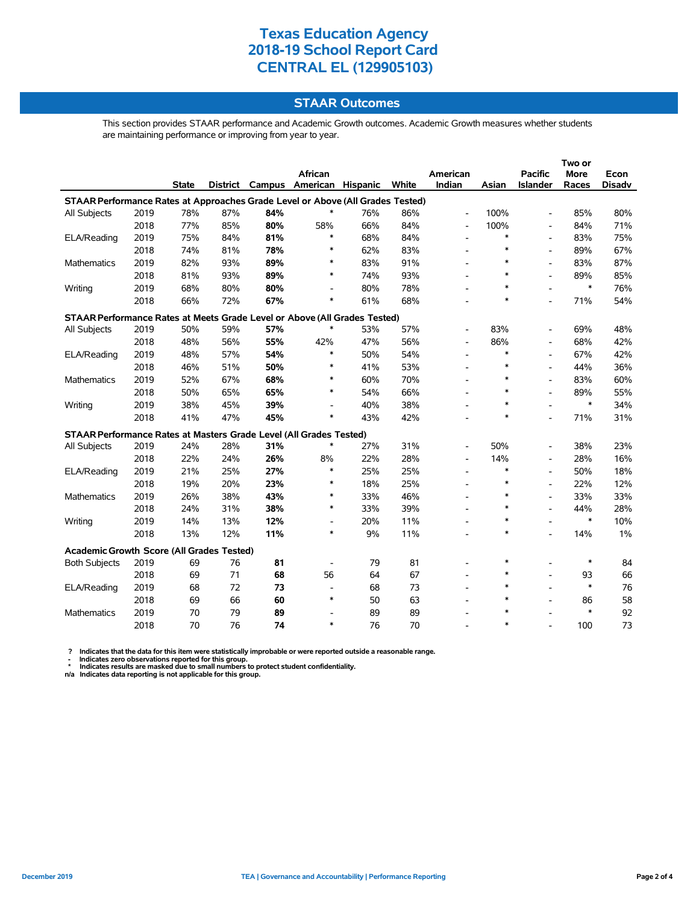### **STAAR Outcomes**

This section provides STAAR performance and Academic Growth outcomes. Academic Growth measures whether students are maintaining performance or improving from year to year.

|                                                                                |      |              |          |     |                          |     |       |                          |        |                          | Two or |               |  |
|--------------------------------------------------------------------------------|------|--------------|----------|-----|--------------------------|-----|-------|--------------------------|--------|--------------------------|--------|---------------|--|
|                                                                                |      |              |          |     | African                  |     |       | American                 |        | <b>Pacific</b>           | More   | Econ          |  |
|                                                                                |      | <b>State</b> | District |     | Campus American Hispanic |     | White | Indian                   | Asian  | Islander                 | Races  | <b>Disadv</b> |  |
| STAAR Performance Rates at Approaches Grade Level or Above (All Grades Tested) |      |              |          |     |                          |     |       |                          |        |                          |        |               |  |
| All Subjects                                                                   | 2019 | 78%          | 87%      | 84% | ∗                        | 76% | 86%   | $\overline{\phantom{a}}$ | 100%   | $\blacksquare$           | 85%    | 80%           |  |
|                                                                                | 2018 | 77%          | 85%      | 80% | 58%                      | 66% | 84%   | $\overline{\phantom{a}}$ | 100%   | $\blacksquare$           | 84%    | 71%           |  |
| ELA/Reading                                                                    | 2019 | 75%          | 84%      | 81% | *                        | 68% | 84%   | $\overline{\phantom{a}}$ | *      | $\blacksquare$           | 83%    | 75%           |  |
|                                                                                | 2018 | 74%          | 81%      | 78% | $\ast$                   | 62% | 83%   | $\overline{\phantom{a}}$ | $\ast$ | $\overline{\phantom{a}}$ | 89%    | 67%           |  |
| Mathematics                                                                    | 2019 | 82%          | 93%      | 89% | ∗                        | 83% | 91%   | $\overline{\phantom{a}}$ | $\ast$ | $\overline{\phantom{a}}$ | 83%    | 87%           |  |
|                                                                                | 2018 | 81%          | 93%      | 89% | *                        | 74% | 93%   | $\overline{\phantom{a}}$ | $\ast$ | $\blacksquare$           | 89%    | 85%           |  |
| Writing                                                                        | 2019 | 68%          | 80%      | 80% | $\overline{a}$           | 80% | 78%   |                          | $\ast$ |                          | $\ast$ | 76%           |  |
|                                                                                | 2018 | 66%          | 72%      | 67% | *                        | 61% | 68%   |                          | $\ast$ | $\overline{\phantom{a}}$ | 71%    | 54%           |  |
| STAAR Performance Rates at Meets Grade Level or Above (All Grades Tested)      |      |              |          |     |                          |     |       |                          |        |                          |        |               |  |
| All Subjects                                                                   | 2019 | 50%          | 59%      | 57% | $\ast$                   | 53% | 57%   |                          | 83%    |                          | 69%    | 48%           |  |
|                                                                                | 2018 | 48%          | 56%      | 55% | 42%                      | 47% | 56%   |                          | 86%    |                          | 68%    | 42%           |  |
| ELA/Reading                                                                    | 2019 | 48%          | 57%      | 54% | $\ast$                   | 50% | 54%   | $\overline{\phantom{a}}$ | $\ast$ | $\overline{a}$           | 67%    | 42%           |  |
|                                                                                | 2018 | 46%          | 51%      | 50% | $\ast$                   | 41% | 53%   |                          | $\ast$ | $\overline{a}$           | 44%    | 36%           |  |
| Mathematics                                                                    | 2019 | 52%          | 67%      | 68% | $\ast$                   | 60% | 70%   | $\overline{\phantom{a}}$ | $\ast$ | $\blacksquare$           | 83%    | 60%           |  |
|                                                                                | 2018 | 50%          | 65%      | 65% | $\ast$                   | 54% | 66%   |                          | $\ast$ | $\blacksquare$           | 89%    | 55%           |  |
| Writing                                                                        | 2019 | 38%          | 45%      | 39% | $\overline{a}$           | 40% | 38%   |                          | $\ast$ | $\overline{a}$           | $\ast$ | 34%           |  |
|                                                                                | 2018 | 41%          | 47%      | 45% | $\ast$                   | 43% | 42%   |                          | $\ast$ | $\overline{a}$           | 71%    | 31%           |  |
| STAAR Performance Rates at Masters Grade Level (All Grades Tested)             |      |              |          |     |                          |     |       |                          |        |                          |        |               |  |
| All Subjects                                                                   | 2019 | 24%          | 28%      | 31% | $\ast$                   | 27% | 31%   |                          | 50%    |                          | 38%    | 23%           |  |
|                                                                                | 2018 | 22%          | 24%      | 26% | 8%                       | 22% | 28%   |                          | 14%    |                          | 28%    | 16%           |  |
| ELA/Reading                                                                    | 2019 | 21%          | 25%      | 27% | $\ast$                   | 25% | 25%   |                          | $\ast$ |                          | 50%    | 18%           |  |
|                                                                                | 2018 | 19%          | 20%      | 23% | $\ast$                   | 18% | 25%   |                          | $\ast$ | $\overline{\phantom{a}}$ | 22%    | 12%           |  |
| Mathematics                                                                    | 2019 | 26%          | 38%      | 43% | $\ast$                   | 33% | 46%   |                          | $\ast$ | $\overline{\phantom{a}}$ | 33%    | 33%           |  |
|                                                                                | 2018 | 24%          | 31%      | 38% | $\ast$                   | 33% | 39%   |                          | $\ast$ | $\overline{\phantom{a}}$ | 44%    | 28%           |  |
| Writing                                                                        | 2019 | 14%          | 13%      | 12% | $\overline{\phantom{a}}$ | 20% | 11%   |                          | $\ast$ |                          | $\ast$ | 10%           |  |
|                                                                                | 2018 | 13%          | 12%      | 11% | $\ast$                   | 9%  | 11%   |                          | $\ast$ | $\overline{a}$           | 14%    | 1%            |  |
| Academic Growth Score (All Grades Tested)                                      |      |              |          |     |                          |     |       |                          |        |                          |        |               |  |
| <b>Both Subjects</b>                                                           | 2019 | 69           | 76       | 81  | $\overline{\phantom{a}}$ | 79  | 81    |                          | *      |                          | $\ast$ | 84            |  |
|                                                                                | 2018 | 69           | 71       | 68  | 56                       | 64  | 67    | $\overline{\phantom{a}}$ | $\ast$ | $\overline{\phantom{a}}$ | 93     | 66            |  |
| ELA/Reading                                                                    | 2019 | 68           | 72       | 73  | $\blacksquare$           | 68  | 73    |                          | *      |                          | $\ast$ | 76            |  |
|                                                                                | 2018 | 69           | 66       | 60  | $\ast$                   | 50  | 63    |                          | $\ast$ | $\overline{\phantom{a}}$ | 86     | 58            |  |
| Mathematics                                                                    | 2019 | 70           | 79       | 89  | $\overline{\phantom{a}}$ | 89  | 89    |                          | $\ast$ |                          | $\ast$ | 92            |  |
|                                                                                | 2018 | 70           | 76       | 74  | *                        | 76  | 70    |                          | $\ast$ |                          | 100    | 73            |  |

? Indicates that the data for this item were statistically improbable or were reported outside a reasonable range.<br>- Indicates zero observations reported for this group.<br>\* Indicates results are masked due to small numbers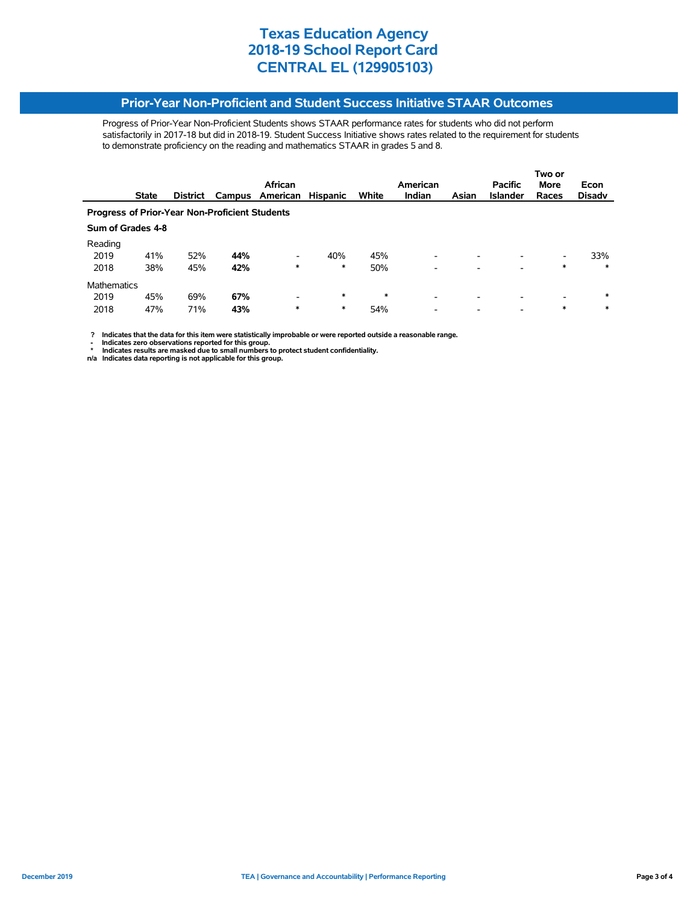#### **Prior-Year Non-Proficient and Student Success Initiative STAAR Outcomes**

Progress of Prior-Year Non-Proficient Students shows STAAR performance rates for students who did not perform satisfactorily in 2017-18 but did in 2018-19. Student Success Initiative shows rates related to the requirement for students to demonstrate proficiency on the reading and mathematics STAAR in grades 5 and 8.

|                                                       |                   |                 |     |                 |                 |        |               |       | Two or          |                          |               |  |
|-------------------------------------------------------|-------------------|-----------------|-----|-----------------|-----------------|--------|---------------|-------|-----------------|--------------------------|---------------|--|
|                                                       |                   |                 |     | African         |                 |        | American      |       | <b>Pacific</b>  | <b>More</b>              | Econ          |  |
|                                                       | <b>State</b>      | <b>District</b> |     | Campus American | <b>Hispanic</b> | White  | <b>Indian</b> | Asian | <b>Islander</b> | Races                    | <b>Disady</b> |  |
| <b>Progress of Prior-Year Non-Proficient Students</b> |                   |                 |     |                 |                 |        |               |       |                 |                          |               |  |
|                                                       | Sum of Grades 4-8 |                 |     |                 |                 |        |               |       |                 |                          |               |  |
| Reading                                               |                   |                 |     |                 |                 |        |               |       |                 |                          |               |  |
| 2019                                                  | 41%               | 52%             | 44% | ٠               | 40%             | 45%    | -             | -     |                 | Ξ.                       | 33%           |  |
| 2018                                                  | 38%               | 45%             | 42% | *               | *               | 50%    | -             |       |                 | *                        | $\ast$        |  |
| <b>Mathematics</b>                                    |                   |                 |     |                 |                 |        |               |       |                 |                          |               |  |
| 2019                                                  | 45%               | 69%             | 67% | ٠               | $\ast$          | $\ast$ | ۰             | -     |                 | $\overline{\phantom{0}}$ | $\ast$        |  |
| 2018                                                  | 47%               | 71%             | 43% | *               | *               | 54%    |               |       | -               | *                        | $\ast$        |  |

 **? Indicates that the data for this item were statistically improbable or were reported outside a reasonable range.**

- Indicates zero observations reported for this group.<br>\* Indicates results are masked due to small numbers to protect student confidentiality.<br>n/a Indicates data reporting is not applicable for this group.